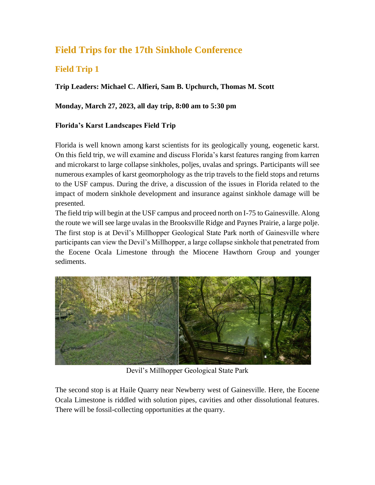# **Field Trips for the 17th Sinkhole Conference**

### **Field Trip 1**

### **Trip Leaders: Michael C. Alfieri, Sam B. Upchurch, Thomas M. Scott**

### **Monday, March 27, 2023, all day trip, 8:00 am to 5:30 pm**

### **Florida's Karst Landscapes Field Trip**

Florida is well known among karst scientists for its geologically young, eogenetic karst. On this field trip, we will examine and discuss Florida's karst features ranging from karren and microkarst to large collapse sinkholes, poljes, uvalas and springs. Participants will see numerous examples of karst geomorphology as the trip travels to the field stops and returns to the USF campus. During the drive, a discussion of the issues in Florida related to the impact of modern sinkhole development and insurance against sinkhole damage will be presented.

The field trip will begin at the USF campus and proceed north on I-75 to Gainesville. Along the route we will see large uvalas in the Brooksville Ridge and Paynes Prairie, a large polje. The first stop is at Devil's Millhopper Geological State Park north of Gainesville where participants can view the Devil's Millhopper, a large collapse sinkhole that penetrated from the Eocene Ocala Limestone through the Miocene Hawthorn Group and younger sediments.



Devil's Millhopper Geological State Park

The second stop is at Haile Quarry near Newberry west of Gainesville. Here, the Eocene Ocala Limestone is riddled with solution pipes, cavities and other dissolutional features. There will be fossil-collecting opportunities at the quarry.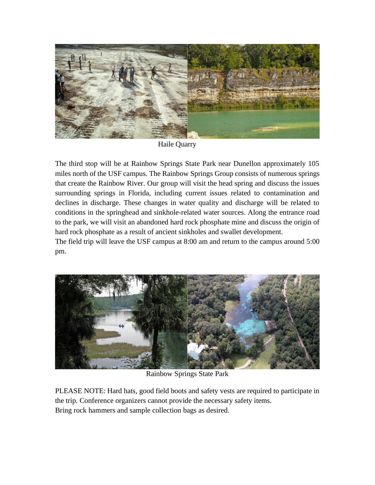

Haile Quarry

The third stop will be at Rainbow Springs State Park near Dunellon approximately 105 miles north of the USF campus. The Rainbow Springs Group consists of numerous springs that create the Rainbow River. Our group will visit the head spring and discuss the issues surrounding springs in Florida, including current issues related to contamination and declines in discharge. These changes in water quality and discharge will be related to conditions in the springhead and sinkhole-related water sources. Along the entrance road to the park, we will visit an abandoned hard rock phosphate mine and discuss the origin of hard rock phosphate as a result of ancient sinkholes and swallet development.

The field trip will leave the USF campus at 8:00 am and return to the campus around 5:00 pm.



Rainbow Springs State Park

PLEASE NOTE: Hard hats, good field boots and safety vests are required to participate in the trip. Conference organizers cannot provide the necessary safety items. Bring rock hammers and sample collection bags as desired.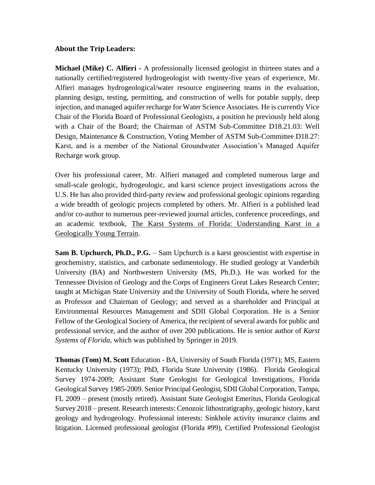#### **About the Trip Leaders:**

**Michael (Mike) C. Alfieri -** A professionally licensed geologist in thirteen states and a nationally certified/registered hydrogeologist with twenty-five years of experience, Mr. Alfieri manages hydrogeological/water resource engineering teams in the evaluation, planning design, testing, permitting, and construction of wells for potable supply, deep injection, and managed aquifer recharge for Water Science Associates. He is currently Vice Chair of the Florida Board of Professional Geologists, a position he previously held along with a Chair of the Board; the Chairman of ASTM Sub-Committee D18.21.03: Well Design, Maintenance & Construction, Voting Member of ASTM Sub-Committee D18.27: Karst, and is a member of the National Groundwater Association's Managed Aquifer Recharge work group.

Over his professional career, Mr. Alfieri managed and completed numerous large and small-scale geologic, hydrogeologic, and karst science project investigations across the U.S. He has also provided third-party review and professional geologic opinions regarding a wide breadth of geologic projects completed by others. Mr. Alfieri is a published lead and/or co-author to numerous peer-reviewed journal articles, conference proceedings, and an academic textbook, The Karst Systems of Florida: Understanding Karst in a Geologically Young Terrain.

**Sam B. Upchurch, Ph.D., P.G.** – Sam Upchurch is a karst geoscientist with expertise in geochemistry, statistics, and carbonate sedimentology. He studied geology at Vanderbilt University (BA) and Northwestern University (MS, Ph.D.). He was worked for the Tennessee Division of Geology and the Corps of Engineers Great Lakes Research Center; taught at Michigan State University and the University of South Florida, where he served as Professor and Chairman of Geology; and served as a shareholder and Principal at Environmental Resources Management and SDII Global Corporation. He is a Senior Fellow of the Geological Society of America, the recipient of several awards for public and professional service, and the author of over 200 publications. He is senior author of *Karst Systems of Florida*, which was published by Springer in 2019.

**Thomas (Tom) M. Scott** Education - BA, University of South Florida (1971); MS, Eastern Kentucky University (1973); PhD, Florida State University (1986). Florida Geological Survey 1974-2009; Assistant State Geologist for Geological Investigations, Florida Geological Survey 1985-2009. Senior Principal Geologist, SDII Global Corporation, Tampa, FL 2009 – present (mostly retired). Assistant State Geologist Emeritus, Florida Geological Survey 2018 – present. Research interests: Cenozoic lithostratigraphy, geologic history, karst geology and hydrogeology. Professional interests: Sinkhole activity insurance claims and litigation. Licensed professional geologist (Florida #99), Certified Professional Geologist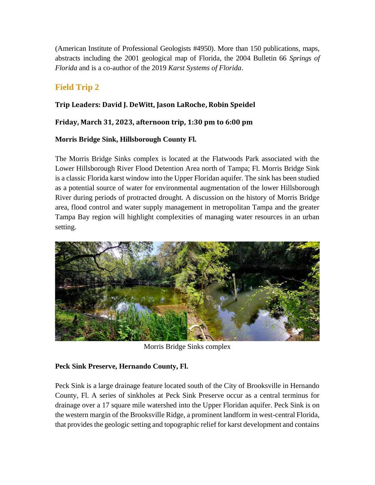(American Institute of Professional Geologists #4950). More than 150 publications, maps, abstracts including the 2001 geological map of Florida, the 2004 Bulletin 66 *Springs of Florida* and is a co-author of the 2019 *Karst Systems of Florida*.

## **Field Trip 2**

### **Trip Leaders: David J. DeWitt, Jason LaRoche, Robin Speidel**

### **Friday, March 31, 2023, afternoon trip, 1:30 pm to 6:00 pm**

### **Morris Bridge Sink, Hillsborough County Fl.**

The Morris Bridge Sinks complex is located at the Flatwoods Park associated with the Lower Hillsborough River Flood Detention Area north of Tampa; Fl. Morris Bridge Sink is a classic Florida karst window into the Upper Floridan aquifer. The sink has been studied as a potential source of water for environmental augmentation of the lower Hillsborough River during periods of protracted drought. A discussion on the history of Morris Bridge area, flood control and water supply management in metropolitan Tampa and the greater Tampa Bay region will highlight complexities of managing water resources in an urban setting.



Morris Bridge Sinks complex

### **Peck Sink Preserve, Hernando County, Fl.**

Peck Sink is a large drainage feature located south of the City of Brooksville in Hernando County, Fl. A series of sinkholes at Peck Sink Preserve occur as a central terminus for drainage over a 17 square mile watershed into the Upper Floridan aquifer. Peck Sink is on the western margin of the Brooksville Ridge, a prominent landform in west-central Florida, that provides the geologic setting and topographic relief for karst development and contains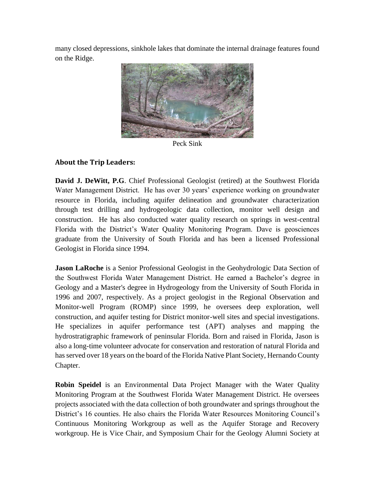many closed depressions, sinkhole lakes that dominate the internal drainage features found on the Ridge.



Peck Sink

### **About the Trip Leaders:**

**David J. DeWitt, P.G**. Chief Professional Geologist (retired) at the Southwest Florida Water Management District. He has over 30 years' experience working on groundwater resource in Florida, including aquifer delineation and groundwater characterization through test drilling and hydrogeologic data collection, monitor well design and construction. He has also conducted water quality research on springs in west-central Florida with the District's Water Quality Monitoring Program. Dave is geosciences graduate from the University of South Florida and has been a licensed Professional Geologist in Florida since 1994.

**Jason LaRoche** is a Senior Professional Geologist in the Geohydrologic Data Section of the Southwest Florida Water Management District. He earned a Bachelor's degree in Geology and a Master's degree in Hydrogeology from the University of South Florida in 1996 and 2007, respectively. As a project geologist in the Regional Observation and Monitor-well Program (ROMP) since 1999, he oversees deep exploration, well construction, and aquifer testing for District monitor-well sites and special investigations. He specializes in aquifer performance test (APT) analyses and mapping the hydrostratigraphic framework of peninsular Florida. Born and raised in Florida, Jason is also a long-time volunteer advocate for conservation and restoration of natural Florida and has served over 18 years on the board of the Florida Native Plant Society, Hernando County Chapter.

**Robin Speidel** is an Environmental Data Project Manager with the Water Quality Monitoring Program at the Southwest Florida Water Management District. He oversees projects associated with the data collection of both groundwater and springs throughout the District's 16 counties. He also chairs the Florida Water Resources Monitoring Council's Continuous Monitoring Workgroup as well as the Aquifer Storage and Recovery workgroup. He is Vice Chair, and Symposium Chair for the Geology Alumni Society at